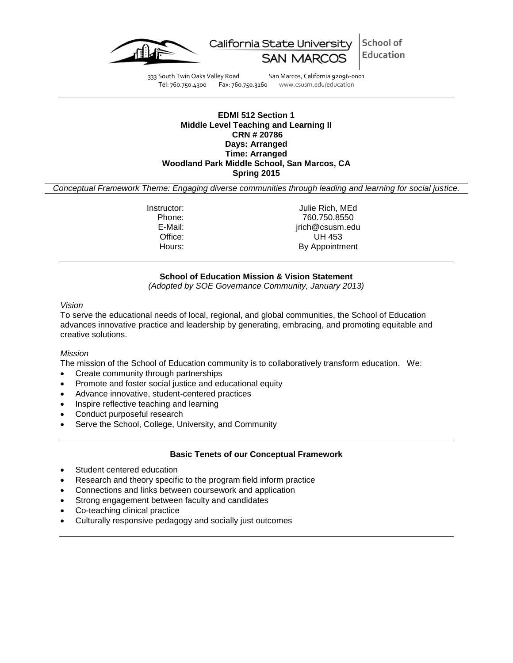



333 South Twin Oaks Valley Road San Marcos, California 92096-0001<br>Tel: 760.750.4300 Fax: 760.750.3160 www.csusm.edu/education www.csusm.edu/education

# **EDMI 512 Section 1 Middle Level Teaching and Learning II CRN # 20786 Days: Arranged Time: Arranged Woodland Park Middle School, San Marcos, CA**

**Spring 2015**

*Conceptual Framework Theme: Engaging diverse communities through leading and learning for social justice.*

Instructor: Julie Rich, MEd Phone: 760.750.8550 E-Mail: jrich@csusm.edu Office: UH 453 Hours: By Appointment

## **School of Education Mission & Vision Statement**

*(Adopted by SOE Governance Community, January 2013)*

### *Vision*

To serve the educational needs of local, regional, and global communities, the School of Education advances innovative practice and leadership by generating, embracing, and promoting equitable and creative solutions.

### *Mission*

The mission of the School of Education community is to collaboratively transform education. We:

- Create community through partnerships
- Promote and foster social justice and educational equity
- Advance innovative, student-centered practices
- Inspire reflective teaching and learning
- Conduct purposeful research
- Serve the School, College, University, and Community

### **Basic Tenets of our Conceptual Framework**

- Student centered education
- Research and theory specific to the program field inform practice
- Connections and links between coursework and application
- Strong engagement between faculty and candidates
- Co-teaching clinical practice
- Culturally responsive pedagogy and socially just outcomes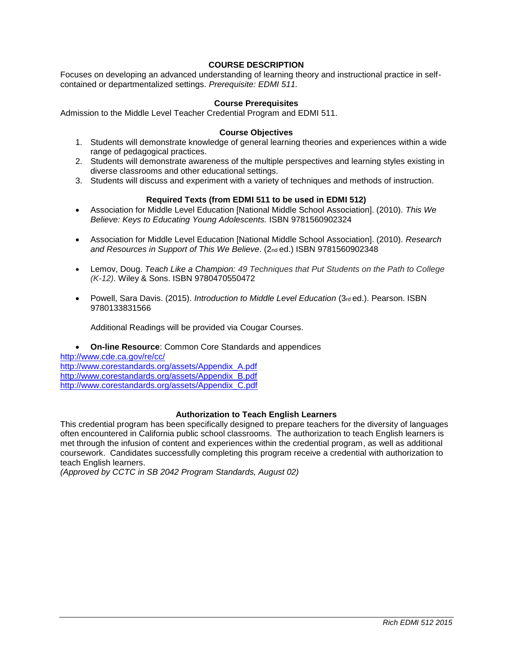## **COURSE DESCRIPTION**

Focuses on developing an advanced understanding of learning theory and instructional practice in selfcontained or departmentalized settings. *Prerequisite: EDMI 511.*

### **Course Prerequisites**

Admission to the Middle Level Teacher Credential Program and EDMI 511.

#### **Course Objectives**

- 1. Students will demonstrate knowledge of general learning theories and experiences within a wide range of pedagogical practices.
- 2. Students will demonstrate awareness of the multiple perspectives and learning styles existing in diverse classrooms and other educational settings.
- 3. Students will discuss and experiment with a variety of techniques and methods of instruction.

### **Required Texts (from EDMI 511 to be used in EDMI 512)**

- Association for Middle Level Education [National Middle School Association]. (2010). *This We Believe: Keys to Educating Young Adolescents.* ISBN 9781560902324
- Association for Middle Level Education [National Middle School Association]. (2010). *Research* and Resources in Support of This We Believe. (2nd ed.) ISBN 9781560902348
- Lemov, Doug. *Teach Like a Champion: 49 Techniques that Put Students on the Path to College (K-12).* Wiley & Sons. ISBN 9780470550472
- Powell, Sara Davis. (2015). *Introduction to Middle Level Education* (3rd ed.). Pearson. ISBN 9780133831566

Additional Readings will be provided via Cougar Courses.

#### **On-line Resource**: Common Core Standards and appendices

<http://www.cde.ca.gov/re/cc/> [http://www.corestandards.org/assets/Appendix\\_A.pdf](http://www.corestandards.org/assets/Appendix_A.pdf) [http://www.corestandards.org/assets/Appendix\\_B.pdf](http://www.corestandards.org/assets/Appendix_B.pdf) [http://www.corestandards.org/assets/Appendix\\_C.pdf](http://www.corestandards.org/assets/Appendix_C.pdf)

## **Authorization to Teach English Learners**

This credential program has been specifically designed to prepare teachers for the diversity of languages often encountered in California public school classrooms. The authorization to teach English learners is met through the infusion of content and experiences within the credential program, as well as additional coursework. Candidates successfully completing this program receive a credential with authorization to teach English learners.

*(Approved by CCTC in SB 2042 Program Standards, August 02)*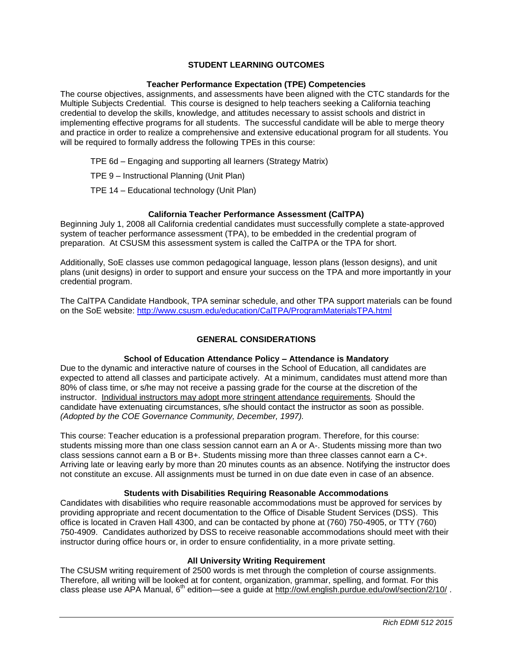## **STUDENT LEARNING OUTCOMES**

### **Teacher Performance Expectation (TPE) Competencies**

The course objectives, assignments, and assessments have been aligned with the CTC standards for the Multiple Subjects Credential. This course is designed to help teachers seeking a California teaching credential to develop the skills, knowledge, and attitudes necessary to assist schools and district in implementing effective programs for all students. The successful candidate will be able to merge theory and practice in order to realize a comprehensive and extensive educational program for all students. You will be required to formally address the following TPEs in this course:

TPE 6d – Engaging and supporting all learners (Strategy Matrix)

TPE 9 – Instructional Planning (Unit Plan)

TPE 14 – Educational technology (Unit Plan)

## **California Teacher Performance Assessment (CalTPA)**

Beginning July 1, 2008 all California credential candidates must successfully complete a state-approved system of teacher performance assessment (TPA), to be embedded in the credential program of preparation. At CSUSM this assessment system is called the CalTPA or the TPA for short.

Additionally, SoE classes use common pedagogical language, lesson plans (lesson designs), and unit plans (unit designs) in order to support and ensure your success on the TPA and more importantly in your credential program.

The CalTPA Candidate Handbook, TPA seminar schedule, and other TPA support materials can be found on the SoE website: <http://www.csusm.edu/education/CalTPA/ProgramMaterialsTPA.html>

## **GENERAL CONSIDERATIONS**

# **School of Education Attendance Policy – Attendance is Mandatory**

Due to the dynamic and interactive nature of courses in the School of Education, all candidates are expected to attend all classes and participate actively. At a minimum, candidates must attend more than 80% of class time, or s/he may not receive a passing grade for the course at the discretion of the instructor. Individual instructors may adopt more stringent attendance requirements. Should the candidate have extenuating circumstances, s/he should contact the instructor as soon as possible. *(Adopted by the COE Governance Community, December, 1997).*

This course: Teacher education is a professional preparation program. Therefore, for this course: students missing more than one class session cannot earn an A or A-. Students missing more than two class sessions cannot earn a B or B+. Students missing more than three classes cannot earn a C+. Arriving late or leaving early by more than 20 minutes counts as an absence. Notifying the instructor does not constitute an excuse. All assignments must be turned in on due date even in case of an absence.

### **Students with Disabilities Requiring Reasonable Accommodations**

Candidates with disabilities who require reasonable accommodations must be approved for services by providing appropriate and recent documentation to the Office of Disable Student Services (DSS). This office is located in Craven Hall 4300, and can be contacted by phone at (760) 750-4905, or TTY (760) 750-4909. Candidates authorized by DSS to receive reasonable accommodations should meet with their instructor during office hours or, in order to ensure confidentiality, in a more private setting.

### **All University Writing Requirement**

The CSUSM writing requirement of 2500 words is met through the completion of course assignments. Therefore, all writing will be looked at for content, organization, grammar, spelling, and format. For this class please use APA Manual, 6<sup>th</sup> edition—see a guide at<http://owl.english.purdue.edu/owl/section/2/10/>.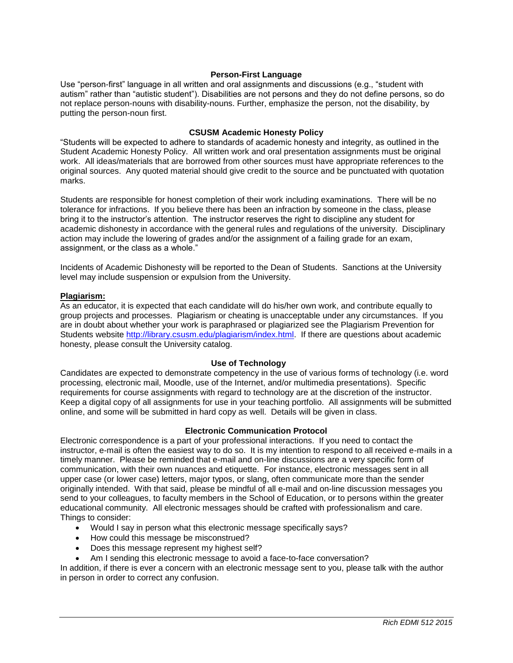## **Person-First Language**

Use "person-first" language in all written and oral assignments and discussions (e.g., "student with autism" rather than "autistic student"). Disabilities are not persons and they do not define persons, so do not replace person-nouns with disability-nouns. Further, emphasize the person, not the disability, by putting the person-noun first.

## **CSUSM Academic Honesty Policy**

"Students will be expected to adhere to standards of academic honesty and integrity, as outlined in the Student Academic Honesty Policy. All written work and oral presentation assignments must be original work. All ideas/materials that are borrowed from other sources must have appropriate references to the original sources. Any quoted material should give credit to the source and be punctuated with quotation marks.

Students are responsible for honest completion of their work including examinations. There will be no tolerance for infractions. If you believe there has been an infraction by someone in the class, please bring it to the instructor's attention. The instructor reserves the right to discipline any student for academic dishonesty in accordance with the general rules and regulations of the university. Disciplinary action may include the lowering of grades and/or the assignment of a failing grade for an exam, assignment, or the class as a whole."

Incidents of Academic Dishonesty will be reported to the Dean of Students. Sanctions at the University level may include suspension or expulsion from the University.

### **Plagiarism:**

As an educator, it is expected that each candidate will do his/her own work, and contribute equally to group projects and processes. Plagiarism or cheating is unacceptable under any circumstances. If you are in doubt about whether your work is paraphrased or plagiarized see the Plagiarism Prevention for Students website [http://library.csusm.edu/plagiarism/index.html.](http://library.csusm.edu/plagiarism/index.html) If there are questions about academic honesty, please consult the University catalog.

### **Use of Technology**

Candidates are expected to demonstrate competency in the use of various forms of technology (i.e. word processing, electronic mail, Moodle, use of the Internet, and/or multimedia presentations). Specific requirements for course assignments with regard to technology are at the discretion of the instructor. Keep a digital copy of all assignments for use in your teaching portfolio. All assignments will be submitted online, and some will be submitted in hard copy as well. Details will be given in class.

### **Electronic Communication Protocol**

Electronic correspondence is a part of your professional interactions. If you need to contact the instructor, e-mail is often the easiest way to do so. It is my intention to respond to all received e-mails in a timely manner. Please be reminded that e-mail and on-line discussions are a very specific form of communication, with their own nuances and etiquette. For instance, electronic messages sent in all upper case (or lower case) letters, major typos, or slang, often communicate more than the sender originally intended. With that said, please be mindful of all e-mail and on-line discussion messages you send to your colleagues, to faculty members in the School of Education, or to persons within the greater educational community. All electronic messages should be crafted with professionalism and care. Things to consider:

- Would I say in person what this electronic message specifically says?
- How could this message be misconstrued?
- Does this message represent my highest self?
- Am I sending this electronic message to avoid a face-to-face conversation?

In addition, if there is ever a concern with an electronic message sent to you, please talk with the author in person in order to correct any confusion.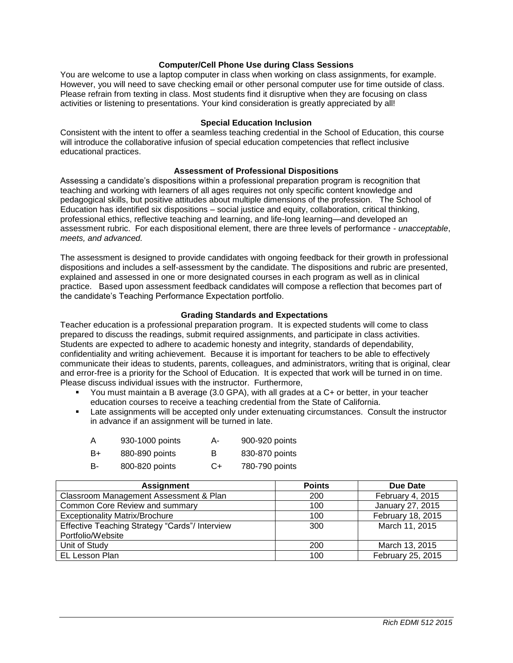## **Computer/Cell Phone Use during Class Sessions**

You are welcome to use a laptop computer in class when working on class assignments, for example. However, you will need to save checking email or other personal computer use for time outside of class. Please refrain from texting in class. Most students find it disruptive when they are focusing on class activities or listening to presentations. Your kind consideration is greatly appreciated by all!

#### **Special Education Inclusion**

Consistent with the intent to offer a seamless teaching credential in the School of Education, this course will introduce the collaborative infusion of special education competencies that reflect inclusive educational practices.

#### **Assessment of Professional Dispositions**

Assessing a candidate's dispositions within a professional preparation program is recognition that teaching and working with learners of all ages requires not only specific content knowledge and pedagogical skills, but positive attitudes about multiple dimensions of the profession. The School of Education has identified six dispositions – social justice and equity, collaboration, critical thinking, professional ethics, reflective teaching and learning, and life-long learning—and developed an assessment rubric. For each dispositional element, there are three levels of performance - *unacceptable*, *meets, and advanced.*

The assessment is designed to provide candidates with ongoing feedback for their growth in professional dispositions and includes a self-assessment by the candidate. The dispositions and rubric are presented, explained and assessed in one or more designated courses in each program as well as in clinical practice. Based upon assessment feedback candidates will compose a reflection that becomes part of the candidate's Teaching Performance Expectation portfolio.

#### **Grading Standards and Expectations**

Teacher education is a professional preparation program. It is expected students will come to class prepared to discuss the readings, submit required assignments, and participate in class activities. Students are expected to adhere to academic honesty and integrity, standards of dependability, confidentiality and writing achievement. Because it is important for teachers to be able to effectively communicate their ideas to students, parents, colleagues, and administrators, writing that is original, clear and error-free is a priority for the School of Education. It is expected that work will be turned in on time. Please discuss individual issues with the instructor. Furthermore,

- You must maintain a B average (3.0 GPA), with all grades at a C+ or better, in your teacher education courses to receive a teaching credential from the State of California.
- Late assignments will be accepted only under extenuating circumstances. Consult the instructor in advance if an assignment will be turned in late.

| A | 930-1000 points | A- | 900-920 points |
|---|-----------------|----|----------------|
|   |                 |    |                |

- B+ 880-890 points B 830-870 points
- B- 800-820 points C+ 780-790 points

| <b>Assignment</b>                              | <b>Points</b> | Due Date          |
|------------------------------------------------|---------------|-------------------|
| Classroom Management Assessment & Plan         | 200           | February 4, 2015  |
| Common Core Review and summary                 | 100           | January 27, 2015  |
| <b>Exceptionality Matrix/Brochure</b>          | 100           | February 18, 2015 |
| Effective Teaching Strategy "Cards"/ Interview | 300           | March 11, 2015    |
| Portfolio/Website                              |               |                   |
| Unit of Study                                  | 200           | March 13, 2015    |
| EL Lesson Plan                                 | 100           | February 25, 2015 |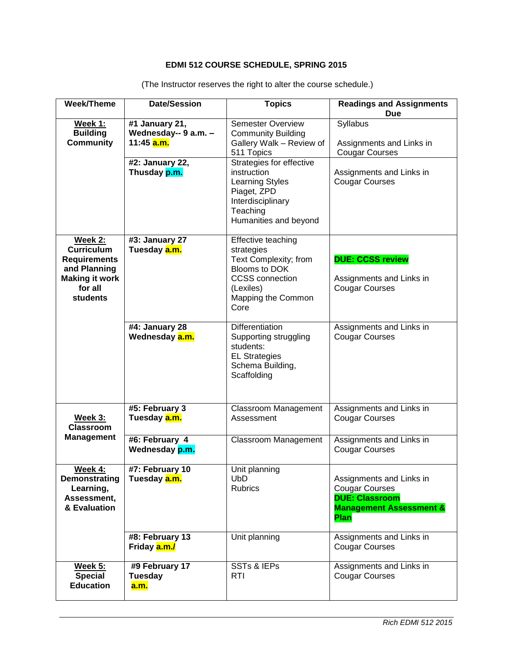# **EDMI 512 COURSE SCHEDULE, SPRING 2015**

| <b>Week/Theme</b>           | <b>Date/Session</b>     | <b>Topics</b>                            | <b>Readings and Assignments</b><br><b>Due</b>               |
|-----------------------------|-------------------------|------------------------------------------|-------------------------------------------------------------|
| <b>Week 1:</b>              | #1 January 21,          | <b>Semester Overview</b>                 | Syllabus                                                    |
| <b>Building</b>             | Wednesday-- 9 a.m. -    | <b>Community Building</b>                |                                                             |
| <b>Community</b>            | 11:45 <mark>a.m.</mark> | Gallery Walk - Review of                 | Assignments and Links in                                    |
|                             |                         | 511 Topics                               | <b>Cougar Courses</b>                                       |
|                             | #2: January 22,         | Strategies for effective                 |                                                             |
|                             | Thusday p.m.            | instruction                              | Assignments and Links in                                    |
|                             |                         | <b>Learning Styles</b>                   | <b>Cougar Courses</b>                                       |
|                             |                         | Piaget, ZPD                              |                                                             |
|                             |                         | Interdisciplinary                        |                                                             |
|                             |                         | Teaching                                 |                                                             |
|                             |                         | Humanities and beyond                    |                                                             |
| Week 2:                     | #3: January 27          | Effective teaching                       |                                                             |
| <b>Curriculum</b>           | Tuesday a.m.            | strategies                               |                                                             |
| <b>Requirements</b>         |                         | Text Complexity; from                    | <b>DUE: CCSS review</b>                                     |
| and Planning                |                         | Blooms to DOK                            |                                                             |
| <b>Making it work</b>       |                         | <b>CCSS</b> connection                   | Assignments and Links in                                    |
| for all                     |                         | (Lexiles)                                | <b>Cougar Courses</b>                                       |
| students                    |                         | Mapping the Common                       |                                                             |
|                             |                         | Core                                     |                                                             |
|                             |                         |                                          |                                                             |
|                             | #4: January 28          | <b>Differentiation</b>                   | Assignments and Links in                                    |
|                             | Wednesday <b>a.m.</b>   | Supporting struggling                    | <b>Cougar Courses</b>                                       |
|                             |                         | students:                                |                                                             |
|                             |                         | <b>EL Strategies</b><br>Schema Building, |                                                             |
|                             |                         | Scaffolding                              |                                                             |
|                             |                         |                                          |                                                             |
|                             |                         |                                          |                                                             |
|                             | #5: February 3          | <b>Classroom Management</b>              | Assignments and Links in                                    |
| Week 3:                     | Tuesday a.m.            | Assessment                               | <b>Cougar Courses</b>                                       |
| <b>Classroom</b>            |                         |                                          |                                                             |
| <b>Management</b>           | #6: February 4          | <b>Classroom Management</b>              | Assignments and Links in                                    |
|                             | Wednesday p.m.          |                                          | <b>Cougar Courses</b>                                       |
|                             |                         |                                          |                                                             |
| Week 4:                     | #7: February 10         | Unit planning                            |                                                             |
| Demonstrating               | Tuesday a.m.            | <b>UbD</b>                               | Assignments and Links in                                    |
| Learning,                   |                         | <b>Rubrics</b>                           | <b>Cougar Courses</b>                                       |
| Assessment,<br>& Evaluation |                         |                                          | <b>DUE: Classroom</b><br><b>Management Assessment &amp;</b> |
|                             |                         |                                          | Plan                                                        |
|                             |                         |                                          |                                                             |
|                             | #8: February 13         | Unit planning                            | Assignments and Links in                                    |
|                             | Friday a.m./            |                                          | <b>Cougar Courses</b>                                       |
|                             |                         |                                          |                                                             |
| <b>Week 5:</b>              | #9 February 17          | <b>SSTs &amp; IEPs</b>                   | Assignments and Links in                                    |
| <b>Special</b>              | Tuesday                 | RTI                                      | <b>Cougar Courses</b>                                       |
| <b>Education</b>            | <b>a.m.</b>             |                                          |                                                             |

(The Instructor reserves the right to alter the course schedule.)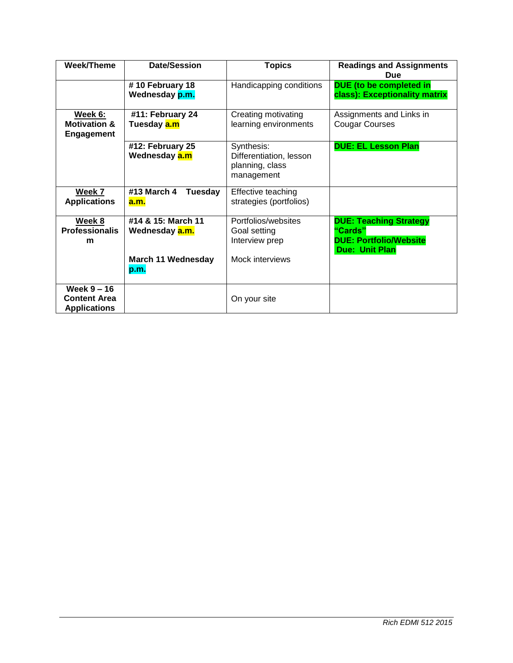| <b>Week/Theme</b>                                           | <b>Date/Session</b>                                                       | <b>Topics</b>                                                            | <b>Readings and Assignments</b><br>Due                                                             |
|-------------------------------------------------------------|---------------------------------------------------------------------------|--------------------------------------------------------------------------|----------------------------------------------------------------------------------------------------|
|                                                             | #10 February 18<br>Wednesday p.m.                                         | Handicapping conditions                                                  | DUE (to be completed in<br>class): Exceptionality matrix                                           |
| Week 6:<br><b>Motivation &amp;</b><br><b>Engagement</b>     | #11: February 24<br>Tuesday <mark>a.m</mark>                              | Creating motivating<br>learning environments                             | Assignments and Links in<br><b>Cougar Courses</b>                                                  |
|                                                             | #12: February 25<br>Wednesday <mark>a.m</mark>                            | Synthesis:<br>Differentiation, lesson<br>planning, class<br>management   | <b>DUE: EL Lesson Plan</b>                                                                         |
| Week 7<br><b>Applications</b>                               | #13 March 4<br>Tuesday<br><b>a.m.</b>                                     | Effective teaching<br>strategies (portfolios)                            |                                                                                                    |
| Week 8<br><b>Professionalis</b><br>m                        | #14 & 15: March 11<br>Wednesday a.m.<br><b>March 11 Wednesday</b><br>p.m. | Portfolios/websites<br>Goal setting<br>Interview prep<br>Mock interviews | <b>DUE: Teaching Strategy</b><br>"Cards"<br><b>DUE: Portfolio/Website</b><br><b>Due: Unit Plan</b> |
| Week $9 - 16$<br><b>Content Area</b><br><b>Applications</b> |                                                                           | On your site                                                             |                                                                                                    |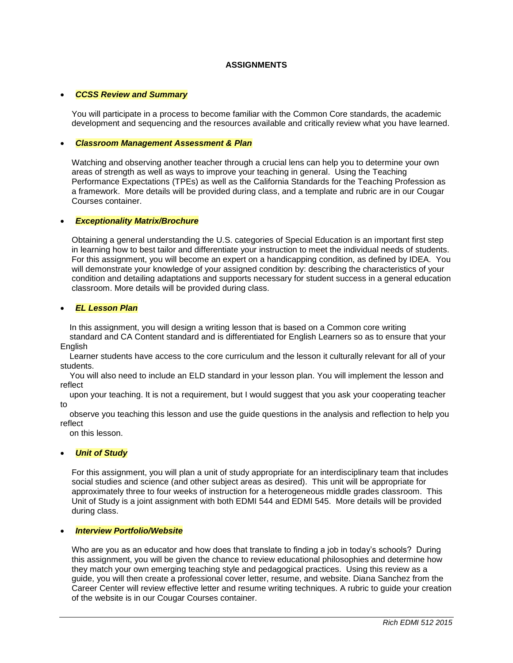## **ASSIGNMENTS**

### *CCSS Review and Summary*

You will participate in a process to become familiar with the Common Core standards, the academic development and sequencing and the resources available and critically review what you have learned.

#### *Classroom Management Assessment & Plan*

Watching and observing another teacher through a crucial lens can help you to determine your own areas of strength as well as ways to improve your teaching in general. Using the Teaching Performance Expectations (TPEs) as well as the California Standards for the Teaching Profession as a framework. More details will be provided during class, and a template and rubric are in our Cougar Courses container.

#### *Exceptionality Matrix/Brochure*

Obtaining a general understanding the U.S. categories of Special Education is an important first step in learning how to best tailor and differentiate your instruction to meet the individual needs of students. For this assignment, you will become an expert on a handicapping condition, as defined by IDEA. You will demonstrate your knowledge of your assigned condition by: describing the characteristics of your condition and detailing adaptations and supports necessary for student success in a general education classroom. More details will be provided during class.

#### *EL Lesson Plan*

 In this assignment, you will design a writing lesson that is based on a Common core writing standard and CA Content standard and is differentiated for English Learners so as to ensure that your English

 Learner students have access to the core curriculum and the lesson it culturally relevant for all of your students.

 You will also need to include an ELD standard in your lesson plan. You will implement the lesson and reflect

 upon your teaching. It is not a requirement, but I would suggest that you ask your cooperating teacher to

 observe you teaching this lesson and use the guide questions in the analysis and reflection to help you reflect

on this lesson.

### *Unit of Study*

For this assignment, you will plan a unit of study appropriate for an interdisciplinary team that includes social studies and science (and other subject areas as desired). This unit will be appropriate for approximately three to four weeks of instruction for a heterogeneous middle grades classroom. This Unit of Study is a joint assignment with both EDMI 544 and EDMI 545. More details will be provided during class.

#### *Interview Portfolio/Website*

Who are you as an educator and how does that translate to finding a job in today's schools? During this assignment, you will be given the chance to review educational philosophies and determine how they match your own emerging teaching style and pedagogical practices. Using this review as a guide, you will then create a professional cover letter, resume, and website. Diana Sanchez from the Career Center will review effective letter and resume writing techniques. A rubric to guide your creation of the website is in our Cougar Courses container.